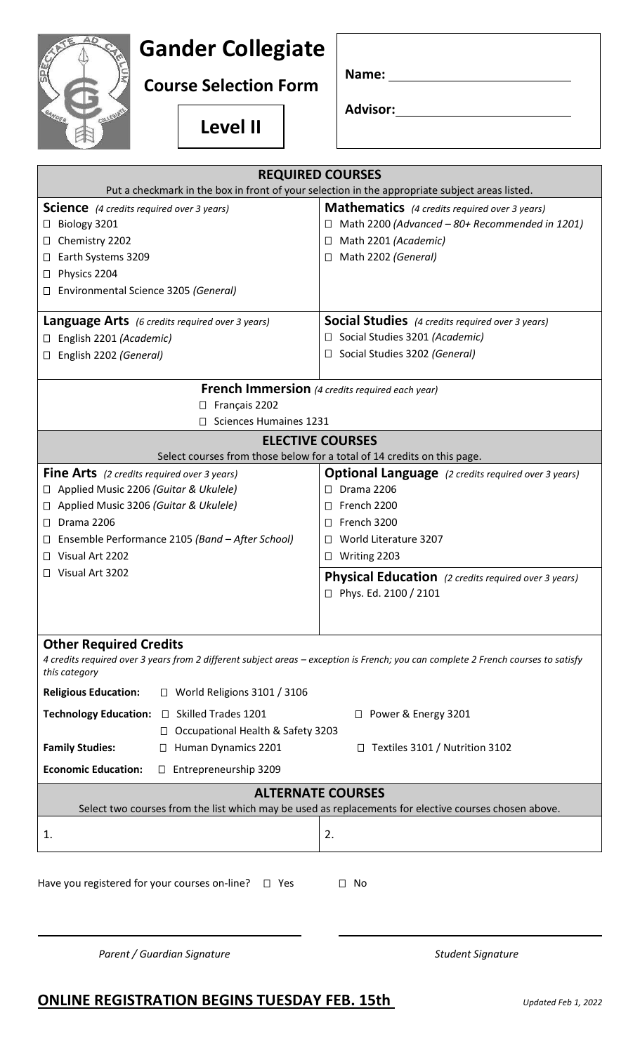## **Gander Collegiate**

**Course Selection Form**

**Level II**

| Name: |  |
|-------|--|
|-------|--|

**Advisor:**

| <b>REQUIRED COURSES</b>                                                                                                                                                                                                                                   |                                                                                        |  |
|-----------------------------------------------------------------------------------------------------------------------------------------------------------------------------------------------------------------------------------------------------------|----------------------------------------------------------------------------------------|--|
| Put a checkmark in the box in front of your selection in the appropriate subject areas listed.                                                                                                                                                            |                                                                                        |  |
| <b>Science</b> (4 credits required over 3 years)                                                                                                                                                                                                          | <b>Mathematics</b> (4 credits required over 3 years)                                   |  |
| Biology 3201<br>Ц                                                                                                                                                                                                                                         | $\Box$ Math 2200 (Advanced - 80+ Recommended in 1201)                                  |  |
| Chemistry 2202<br>⊔                                                                                                                                                                                                                                       | Math 2201 (Academic)<br>$\Box$                                                         |  |
| Earth Systems 3209<br>⊔                                                                                                                                                                                                                                   | Math 2202 (General)<br>$\Box$                                                          |  |
| Physics 2204<br>⊔                                                                                                                                                                                                                                         |                                                                                        |  |
| Environmental Science 3205 (General)                                                                                                                                                                                                                      |                                                                                        |  |
| <b>Language Arts</b> (6 credits required over 3 years)                                                                                                                                                                                                    | <b>Social Studies</b> (4 credits required over 3 years)                                |  |
| English 2201 (Academic)                                                                                                                                                                                                                                   | $\Box$ Social Studies 3201 (Academic)                                                  |  |
| English 2202 (General)                                                                                                                                                                                                                                    | Social Studies 3202 (General)<br>Ш                                                     |  |
| <b>French Immersion</b> (4 credits required each year)                                                                                                                                                                                                    |                                                                                        |  |
| $\Box$ Français 2202                                                                                                                                                                                                                                      |                                                                                        |  |
| Sciences Humaines 1231<br>$\Box$                                                                                                                                                                                                                          |                                                                                        |  |
| <b>ELECTIVE COURSES</b>                                                                                                                                                                                                                                   |                                                                                        |  |
| Select courses from those below for a total of 14 credits on this page.                                                                                                                                                                                   |                                                                                        |  |
| <b>Fine Arts</b> (2 credits required over 3 years)                                                                                                                                                                                                        | <b>Optional Language</b> (2 credits required over 3 years)                             |  |
| Applied Music 2206 (Guitar & Ukulele)<br>ப                                                                                                                                                                                                                | $\Box$ Drama 2206                                                                      |  |
| Applied Music 3206 (Guitar & Ukulele)<br>⊔                                                                                                                                                                                                                | French 2200<br>$\perp$                                                                 |  |
| Drama 2206<br>Ц                                                                                                                                                                                                                                           | French 3200<br>$\Box$                                                                  |  |
| Ensemble Performance 2105 (Band - After School)<br>⊔                                                                                                                                                                                                      | World Literature 3207<br>$\mathbf{1}$                                                  |  |
| Visual Art 2202<br>$\perp$                                                                                                                                                                                                                                | $\Box$ Writing 2203                                                                    |  |
| □ Visual Art 3202                                                                                                                                                                                                                                         | <b>Physical Education</b> (2 credits required over 3 years)<br>□ Phys. Ed. 2100 / 2101 |  |
| <b>Other Required Credits</b><br>4 credits required over 3 years from 2 different subject areas - exception is French; you can complete 2 French courses to satisfy<br>this category<br><b>Religious Education:</b><br>$\Box$ World Religions 3101 / 3106 |                                                                                        |  |
| Technology Education: □ Skilled Trades 1201<br>□ Power & Energy 3201                                                                                                                                                                                      |                                                                                        |  |
| □ Occupational Health & Safety 3203                                                                                                                                                                                                                       |                                                                                        |  |
| <b>Family Studies:</b><br>Human Dynamics 2201<br>$\perp$                                                                                                                                                                                                  | $\Box$ Textiles 3101 / Nutrition 3102                                                  |  |
| <b>Economic Education:</b><br>$\Box$ Entrepreneurship 3209                                                                                                                                                                                                |                                                                                        |  |
| <b>ALTERNATE COURSES</b>                                                                                                                                                                                                                                  |                                                                                        |  |
| Select two courses from the list which may be used as replacements for elective courses chosen above.                                                                                                                                                     |                                                                                        |  |
| 1.                                                                                                                                                                                                                                                        | 2.                                                                                     |  |
| Have you registered for your courses on-line?<br>$\Box$ No<br>$\Box$ Yes                                                                                                                                                                                  |                                                                                        |  |
| Parent / Guardian Signature                                                                                                                                                                                                                               | <b>Student Signature</b>                                                               |  |

## **ONLINE REGISTRATION BEGINS TUESDAY FEB. 15th** *Updated Feb 1, 2022*